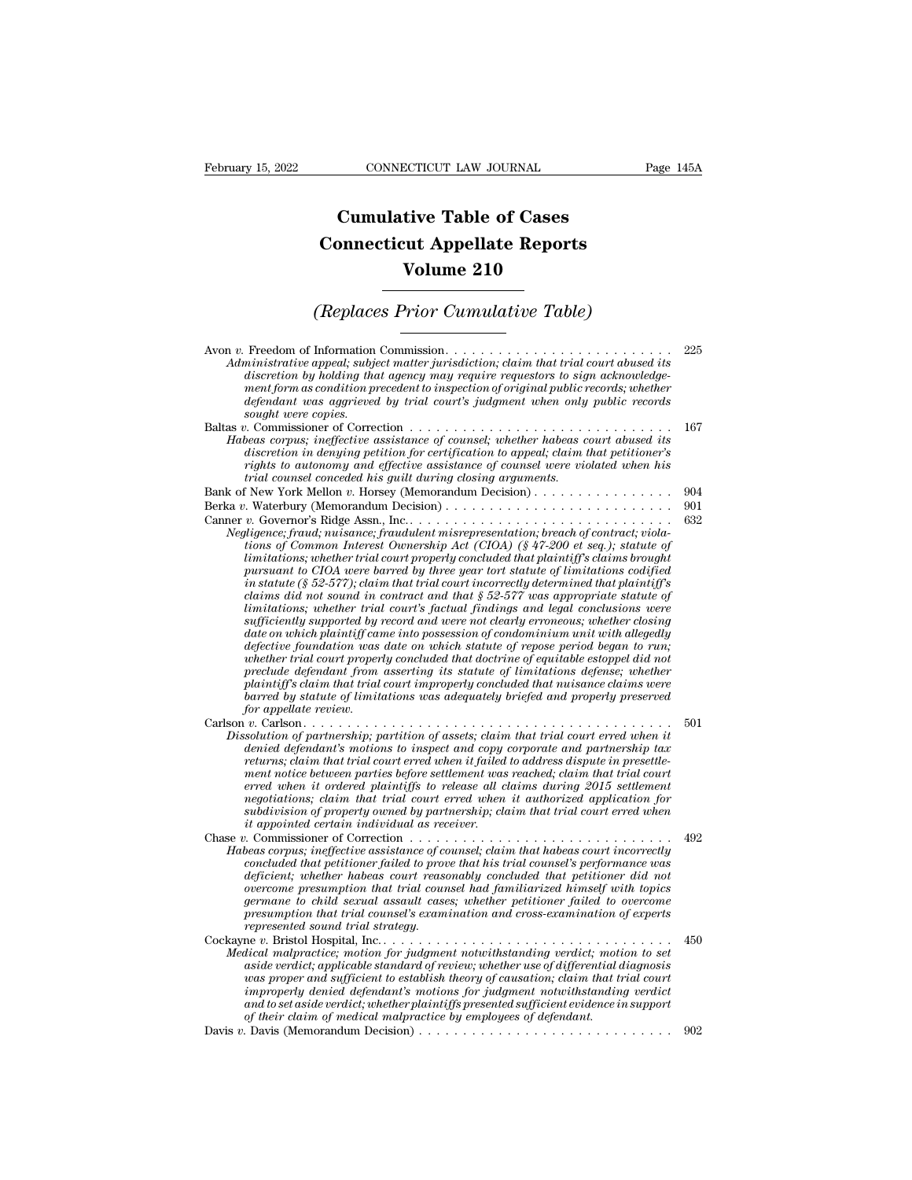## **CONNECTICUT LAW JOURNAL**<br> **Cumulative Table of Cases<br>
pnnecticut Appellate Reports CONNECTICUT LAW JOURNAL** Pag<br> **Cumulative Table of Cases**<br> **Connecticut Appellate Reports<br>
Volume 210 ECTICUT LAW JOURNAL**<br> **Volume 210**<br> **Volume 210**<br> **Volume 210**<br> **Prior Cumulative Table) Cumulative Table of Cases<br>
Connecticut Appellate Reports<br>
Volume 210<br>
(Replaces Prior Cumulative Table)**<br>
Information Commission

| Volume 210                                                                                                                                                                                                                                                                                                                                                                                                                                                                                                                                                                                                                                                                                                                                                                                                                                                                                                                                                                                                                                                                                                                                                                                                                                                                                               |                   |
|----------------------------------------------------------------------------------------------------------------------------------------------------------------------------------------------------------------------------------------------------------------------------------------------------------------------------------------------------------------------------------------------------------------------------------------------------------------------------------------------------------------------------------------------------------------------------------------------------------------------------------------------------------------------------------------------------------------------------------------------------------------------------------------------------------------------------------------------------------------------------------------------------------------------------------------------------------------------------------------------------------------------------------------------------------------------------------------------------------------------------------------------------------------------------------------------------------------------------------------------------------------------------------------------------------|-------------------|
| (Replaces Prior Cumulative Table)                                                                                                                                                                                                                                                                                                                                                                                                                                                                                                                                                                                                                                                                                                                                                                                                                                                                                                                                                                                                                                                                                                                                                                                                                                                                        |                   |
| Administrative appeal; subject matter jurisdiction; claim that trial court abused its<br>discretion by holding that agency may require requestors to sign acknowledge-<br>ment form as condition precedent to inspection of original public records; whether<br>defendant was aggrieved by trial court's judgment when only public records<br>sought were copies.                                                                                                                                                                                                                                                                                                                                                                                                                                                                                                                                                                                                                                                                                                                                                                                                                                                                                                                                        | 225               |
| Baltas v. Commissioner of Correction $\dots \dots \dots \dots \dots \dots \dots \dots \dots \dots \dots \dots$<br>Habeas corpus; ineffective assistance of counsel; whether habeas court abused its<br>discretion in denying petition for certification to appeal; claim that petitioner's<br>rights to autonomy and effective assistance of counsel were violated when his<br>trial counsel conceded his quilt during closing arguments.                                                                                                                                                                                                                                                                                                                                                                                                                                                                                                                                                                                                                                                                                                                                                                                                                                                                | 167               |
| Bank of New York Mellon v. Horsey (Memorandum Decision)<br>Negligence; fraud; nuisance; fraudulent misrepresentation; breach of contract; viola-<br>tions of Common Interest Ownership Act (CIOA) (§ 47-200 et seq.); statute of<br>limitations; whether trial court properly concluded that plaintiff's claims brought<br>pursuant to CIOA were barred by three year tort statute of limitations codified<br>in statute (§ 52-577); claim that trial court incorrectly determined that plaintiff's<br>claims did not sound in contract and that $\S 52-577$ was appropriate statute of<br>limitations; whether trial court's factual findings and legal conclusions were<br>sufficiently supported by record and were not clearly erroneous; whether closing<br>date on which plaintiff came into possession of condominium unit with allegedly<br>defective foundation was date on which statute of repose period began to run;<br>whether trial court properly concluded that doctrine of equitable estoppel did not<br>preclude defendant from asserting its statute of limitations defense; whether<br>plaintiff's claim that trial court improperly concluded that nuisance claims were<br>barred by statute of limitations was adequately briefed and properly preserved<br>for appellate review. | 904<br>901<br>632 |
| Dissolution of partnership; partition of assets; claim that trial court erred when it<br>denied defendant's motions to inspect and copy corporate and partnership tax<br>returns; claim that trial court erred when it failed to address dispute in presettle-<br>ment notice between parties before settlement was reached; claim that trial court<br>erred when it ordered plaintiffs to release all claims during 2015 settlement<br>negotiations; claim that trial court erred when it authorized application for<br>subdivision of property owned by partnership; claim that trial court erred when<br><i>it appointed certain individual as receiver.</i>                                                                                                                                                                                                                                                                                                                                                                                                                                                                                                                                                                                                                                          | 501               |
| Habeas corpus; ineffective assistance of counsel; claim that habeas court incorrectly<br>concluded that petitioner failed to prove that his trial counsel's performance was<br>deficient; whether habeas court reasonably concluded that petitioner did not<br>overcome presumption that trial counsel had familiarized himself with topics<br>germane to child sexual assault cases; whether petitioner failed to overcome<br>presumption that trial counsel's examination and cross-examination of experts<br>represented sound trial strategy.                                                                                                                                                                                                                                                                                                                                                                                                                                                                                                                                                                                                                                                                                                                                                        | 492               |
| Medical malpractice; motion for judgment notwithstanding verdict; motion to set<br>aside verdict; applicable standard of review; whether use of differential diagnosis<br>was proper and sufficient to establish theory of causation; claim that trial court<br>improperly denied defendant's motions for judgment notwithstanding verdict<br>and to set aside verdict; whether plaintiffs presented sufficient evidence in support<br>of their claim of medical malpractice by employees of defendant.                                                                                                                                                                                                                                                                                                                                                                                                                                                                                                                                                                                                                                                                                                                                                                                                  | 450               |
|                                                                                                                                                                                                                                                                                                                                                                                                                                                                                                                                                                                                                                                                                                                                                                                                                                                                                                                                                                                                                                                                                                                                                                                                                                                                                                          | 902               |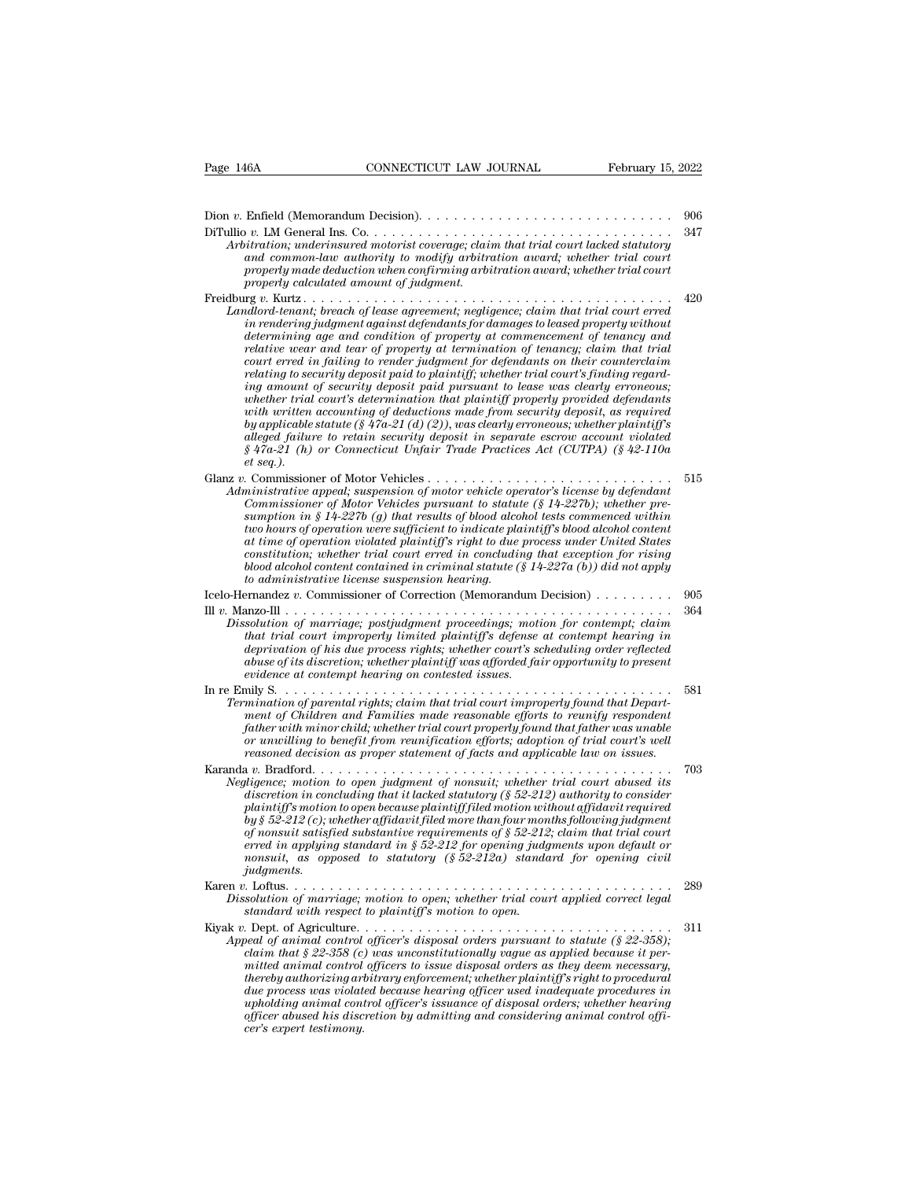| CONNECTICUT LAW JOURNAL<br>February 15, 2022<br>Page 146A                                                                                                                                                                                                                                                                                                                                                                                                                                                                                                                                                                                                                                                                                                                                                                                                                                                                                                                                                                                                                 |            |
|---------------------------------------------------------------------------------------------------------------------------------------------------------------------------------------------------------------------------------------------------------------------------------------------------------------------------------------------------------------------------------------------------------------------------------------------------------------------------------------------------------------------------------------------------------------------------------------------------------------------------------------------------------------------------------------------------------------------------------------------------------------------------------------------------------------------------------------------------------------------------------------------------------------------------------------------------------------------------------------------------------------------------------------------------------------------------|------------|
|                                                                                                                                                                                                                                                                                                                                                                                                                                                                                                                                                                                                                                                                                                                                                                                                                                                                                                                                                                                                                                                                           |            |
| Dion v. Enfield (Memorandum Decision). $\dots \dots \dots \dots \dots \dots \dots \dots \dots \dots \dots$<br>Arbitration; underinsured motorist coverage; claim that trial court lacked statutory<br>and common-law authority to modify arbitration award; whether trial court<br>properly made deduction when confirming arbitration award; whether trial court                                                                                                                                                                                                                                                                                                                                                                                                                                                                                                                                                                                                                                                                                                         | 906<br>347 |
| properly calculated amount of judgment.<br>Landlord-tenant; breach of lease agreement; negligence; claim that trial court erred<br>in rendering judgment against defendants for damages to leased property without<br>determining age and condition of property at commencement of tenancy and<br>relative wear and tear of property at termination of tenancy; claim that trial<br>court erred in failing to render judgment for defendants on their counterclaim<br>relating to security deposit paid to plaintiff; whether trial court's finding regard-<br>ing amount of security deposit paid pursuant to lease was clearly erroneous;<br>whether trial court's determination that plaintiff properly provided defendants<br>with written accounting of deductions made from security deposit, as required<br>by applicable statute (§ 47a-21 (d) (2)), was clearly erroneous; whether plaintiff's<br>alleged failure to retain security deposit in separate escrow account violated<br>$\S$ 47a-21 (h) or Connecticut Unfair Trade Practices Act (CUTPA) (§ 42-110a | 420        |
| $et seq.$ ).<br>Administrative appeal; suspension of motor vehicle operator's license by defendant<br>Commissioner of Motor Vehicles pursuant to statute (§ 14-227b); whether pre-<br>sumption in § 14-227b (q) that results of blood alcohol tests commenced within<br>two hours of operation were sufficient to indicate plaintiff's blood alcohol content<br>at time of operation violated plaintiff's right to due process under United States<br>constitution; whether trial court erred in concluding that exception for rising<br>blood alcohol content contained in criminal statute $(\S 14-227a(b))$ did not apply<br>to administrative license suspension hearing.                                                                                                                                                                                                                                                                                                                                                                                             | 515        |
| Icelo-Hernandez v. Commissioner of Correction (Memorandum Decision)<br>Dissolution of marriage; postjudgment proceedings; motion for contempt; claim<br>that trial court improperly limited plaintiff's defense at contempt hearing in<br>deprivation of his due process rights; whether court's scheduling order reflected<br>abuse of its discretion; whether plaintiff was afforded fair opportunity to present<br>evidence at contempt hearing on contested issues.                                                                                                                                                                                                                                                                                                                                                                                                                                                                                                                                                                                                   | 905<br>364 |
| In re Emily $S. \ldots$ .<br>Termination of parental rights; claim that trial court improperly found that Depart-<br>ment of Children and Families made reasonable efforts to reunify respondent<br>father with minor child; whether trial court properly found that father was unable<br>or unwilling to benefit from reunification efforts; adoption of trial court's well<br>reasoned decision as proper statement of facts and applicable law on issues.                                                                                                                                                                                                                                                                                                                                                                                                                                                                                                                                                                                                              | 581        |
| Karanda v. Bradford.<br>.<br>Negligence; motion to open judgment of nonsuit; whether trial court abused its<br>discretion in concluding that it lacked statutory $(852-212)$ authority to consider<br>plaintiff's motion to open because plaintiff filed motion without affidavit required<br>by § 52-212 (c); whether affidavit filed more than four months following judgment<br>of nonsuit satisfied substantive requirements of $\S 52-212$ ; claim that trial court<br>erred in applying standard in $\S 52-212$ for opening judgments upon default or<br>nonsuit, as opposed to statutory $(\frac{6}{52}-212a)$ standard for opening civil<br><i>judgments.</i>                                                                                                                                                                                                                                                                                                                                                                                                     | 703        |
| Dissolution of marriage; motion to open; whether trial court applied correct legal<br>standard with respect to plaintiff's motion to open.                                                                                                                                                                                                                                                                                                                                                                                                                                                                                                                                                                                                                                                                                                                                                                                                                                                                                                                                | 289        |
| Appeal of animal control officer's disposal orders pursuant to statute ( $\S$ 22-358);<br>claim that $\S 22-358$ (c) was unconstitutionally vaque as applied because it per-<br>mitted animal control officers to issue disposal orders as they deem necessary,<br>thereby authorizing arbitrary enforcement; whether plaintiff's right to procedural<br>due process was violated because hearing officer used inadequate procedures in<br>upholding animal control officer's issuance of disposal orders; whether hearing<br>officer abused his discretion by admitting and considering animal control offi-<br>cer's expert testimony.                                                                                                                                                                                                                                                                                                                                                                                                                                  | 311        |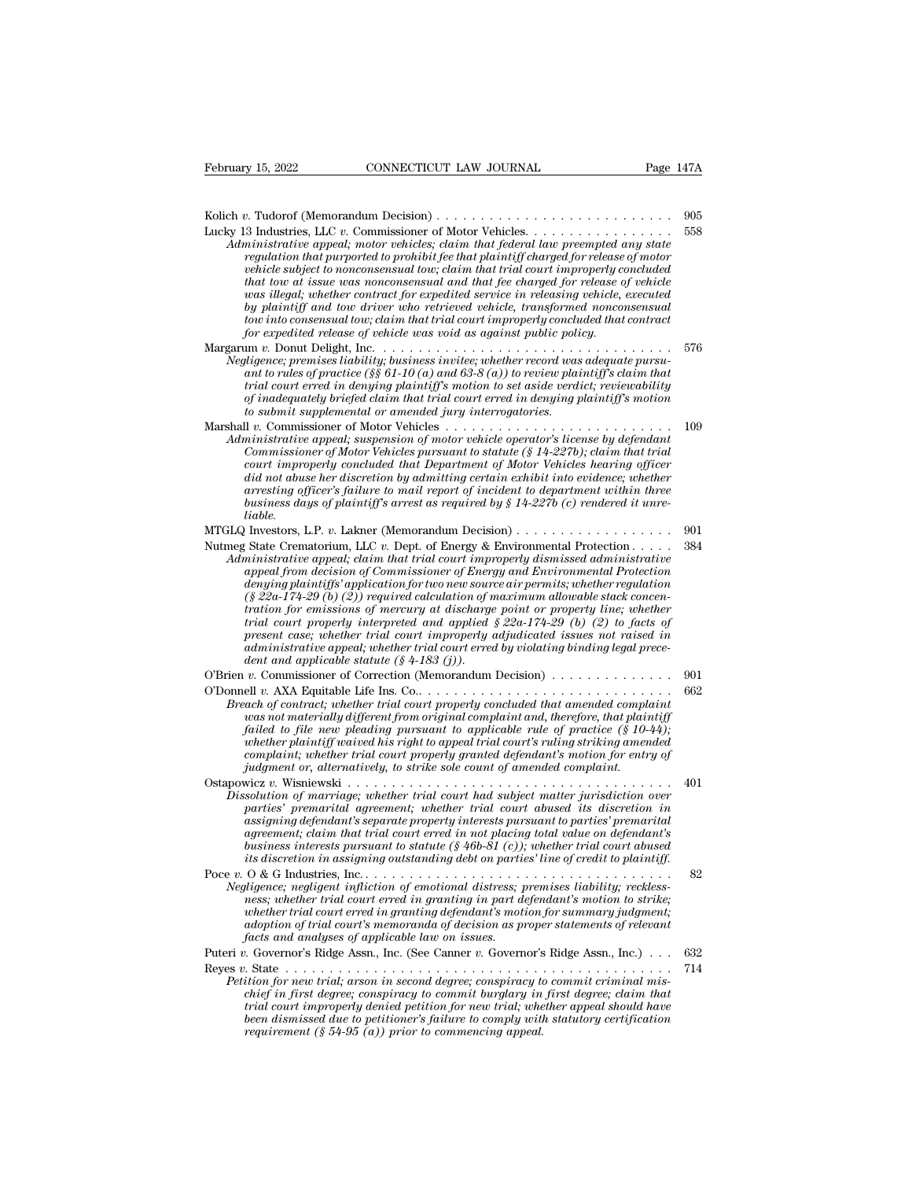Kolich *<sup>v</sup>*. Tudorof (Memorandum Decision) . . . . . . . . . . . . . . . . . . . . . . . . . . . <sup>905</sup> Lucky 13 Industries, LLC *<sup>v</sup>*. Commissioner of Motor Vehicles. . . . . . . . . . . . . . . . . <sup>558</sup> *Administrative appeal; motor vehicles; claim that federal law preempted and motor vehicles*<br>*Administrative appeal; motor vehicles; claim that federal law preempted any state*<br>*Administrative appeal; motor vehicles; claim regulation that purported to prohibit fee that plaintiff charged for release of motor*<br>*a* flat purported to prohibit fee that plaintiff charged for release of motor<br>*anistrative appeal*; motor vehicles; claim that federa *vehicle subject to nonconsensual tow; claim that trial court improperly concluded that tow at issue was nonconsensual tow relationship in that tow at issue was nonconsensual tow at issue was nonconsensual tow, claim that federal law preempted any state regulation that purported to prohibit fee that pl was illegal; whether contract for expedited service in releasing vehicle, executed b* and thus and the model of More Weillers . The retrieved vehicles and industriative appeal, motor vehicles and that federal law preempted any state regulation that purported to prohibit fee that plaintiff charged for r *town interestand tow into the commissioner of Motor Vehicles.*  $\ldots \ldots \ldots \ldots$  is the ministrative appeal; motor vehicles; claim that federal law prempted any state regulation that princred to probibil fee that plaintiff *for expediant that purported to prohibit fee that plaintiff charged for release vehicle subject to nonconsensual tow, claim that trial court improperly contained that tow at issue was nonconsensual and that fee charged fo vehicle subject to nonconsensual tow; claim that trial court improperly concluded*<br> *vehicle subject to nonconsensual tow; claim that fee charged for release of vehicle*<br> *that tow at issue was nonconsensual and that fee Negligence; premises liability; business invite in the charged for release of vehicle*<br>was illegal; whether contract for expedited service in releasing vehicle<br>was illegal; whether contract for expedited service in releas *and to a casse was inhouses said und that the caliged* processe of centerations and the product of practice (and the producted by plaintiff and tow driver who retrieved vehicle, transformed nonconsensual tow into consensu *trial court courter courter of experiment in the trial service in reasing pention to plaintiff and tow driver who retrieved vehicle, transformed nonconsensual tow into consensual tow; claim that trial court improperly con of inadequately briefed claim that trial court erred in denying plaintiff's motion to submit supplemental or amended jury interrogatories.* Marshall *v.* Commissioner of Motor Vehicles . . . . . . . . . . . . . . . . . . . . . . . . . . <sup>109</sup> *Administrative appeal; suspension of motor vehicle operator's license by defendant* court errors with the trial court erred in denying plaintiff's motion to set aside verdict; reviewability of inadequately brigged claim t *Commissioner permissioner of Motor Vehicles pursuant to rules of practice (§§ 61-10 (a) and 63-8 (a)) to review plaintiff's claim that trial court erred in denying plaintiff's motion to set aside verdict; reviewability of court erred in denying plaintiff's motion to every of while that in court erred in denying plaintiff's motion to set aside verdici; reviewability of inadequately briefed claim that trial court erred in denying plaintiff's did coart errest in a coart in the discretion by a motion to set assisted principly principly bright discretion by a membed jury interrogatories.*<br>  $d\theta$  is absorption by a membed jury interrogatories.<br>  $d\theta$  is a commiss *arresting of manequative of included in the coart effect to submit supplemental or amended jury interrogatories.*<br>  $\begin{aligned} 1 & v. \text{ Commissioner of Motor Vehicles } & ... & ... & ... & ... & 109 \\ 1 & v. \text{ Commissioner of Motor Vehicles } & ... & ... & ... & ... & 109 \\ 2 & v. \text{ Commissioner of Motor Vehicles } & ... & ... & ... & ... & ... & 109 \\ 3 & v. \text{$ *business days are also suspension of motor vehicle operator's license by defendant<br>
Commissioner of Motor Vehicles pursuant to statute (§ 14-227b); claim that trial<br>
court improperly concluded that Department of Motor Veh liable.* Commissioner of Motor Vehicles pursuant to statute (§ 14-227b); claim that trial<br>Court improperly concluded that Department of Motor Vehicles hearing officer<br>did not abuse her discretion by admitting certain exhibit into e Fourt improperly concluded that Department of Motor Vehicles hearing officer<br>did not abuse her discretion by admitting certain exhibit into evidence; whether<br>arresting officer's failure to mail report of incident to depart *Administrative appeal; claim that trial court improperly dismissed administrative appeal; claim to the business days of plaintiff's arrest as required by § 14-227b (c) rendered it unreliable.*<br> *Administrative appeal; cla arresting officer's failure to mail report of incident to department within three*<br>business days of plaintiff's arrest as required by § 14-227b (c) rendered it unre-<br>liable.<br>Investors, L.P. v. Lakner (Memorandum Decision) *denying plaintiffs' application for two new source air permits; whether regulation (§ 22a-174-29 (b) (2)) remaining a model in pecision*  $\ldots$  *concentration*  $\ldots$  *contracts* controllate.<br> *(State Crematorium, LLC v. Dept. of Energy & Environmental Protection*  $\ldots$ *, ministrative appeal, claim that tration for emissions of mercury at discharge point or property dismissed administrative appeal; claim that trial court improperty dismissed administrative appeal from decision of Commissioner of Energy and Environmental* Find court properly interpreted and properly distribution of the different protection and S84 and the trial court improperly dismissed administrative appeal, claim that trial court improperly dismissed administrative appe *present case; whether trial court improperly adjudicated issues not raised in annistrative appeal; claim that trial court improperty dismissed administrative* appeal from decision of Commissioner of Energy and Environmental Protection denying plaintiffs' application for two new source air premist; *denying plaintiffs' application for two new sourdenying plaintiffs' application for two new sources*  $(s \& 2a \cdot 174 + 29 \text{ (b) } (2)$ ) required calculation of *n* emissions of mercury at discharge trial court properly inter *Commissioner of Correction (Memorandum Decision)*<br> *Changing plantial court property at discharge point or property line; whether trial court property interpreted and applied § 22a-174-29 (b) (2) to facts of present case;* Fraction for emissions of mercury at discharge point or property line; whether<br>trial court property interpreted and applied  $\S$  22a-174-29 (b) (2) to facts of<br>present case; whether trial court improperty adjudicated issue *Breach of contract; whether trial court properly adjudicated issues not raised in*<br>*administrative appeal; whether trial court erred by violating binding legal precedent and applicable statute (\$ 4-183 (j))*.<br>
ien v. Com *present case*; whether trial court improperly adjudicated issues not raised in administrative appeal, whether trial court erred by violating binding legal precedent and applicable statute  $(\$4-183\ (j))$ .<br>  $v$ . Commissione *failed to file new pleading pursuant to applicable rule of practice new producent and applicable statute (§ 4-183 (j)).*<br> *for a failed to applicable statute (§ 4-183 (j)).*<br> *for a failed to file new pleading pursuant to whether plaintiff waived his right to appeal trial court's ruling striking amended complaint; whether trial court properly granted defendant's motion for entry of judgment or, alternatively, to strike sole count of amended complaint.*  $B$  *b*  $B$  *reach of contract; whether trial court properly concluded that amended complaint*  $as$  *not materially different from original complaint and, therefore, that plaintiff* failed to file new pleading pursuant to *Dissolution of marriage; whether trial court property contained and unemation of materially different from original complaint and, therefore, that plaintiff failed to file new pleading pursuant to applicable rule of prac parties' murering ufferential and the particle in the trial court is reflected (§ 10-44);*<br> *particle to file new pleading pursuant to applicable rule of practice (§ 10-44);*<br> *whether plaintiff waived his right to appea givata to jue hat petually pursuant to uppeat our the of purcules rate of a property,*<br> *abteher plaintiff waved his right to appeal trial court's ruling striking amended*<br> *complaint, whether trial court property grante agreement; wherea ans regist to uppeut it an court s rating straing unerated*<br>*complaint; whether trial court properly granted defendant's motion for entry of*<br>*judgment or, alternatively, to strike sole count of amende business interests in the court property granted degendants motion for entry of*<br>piadgment or, alternatively, to strike sole count of amended complaint.<br>  $\frac{1}{2}$ <br>  $\frac{1}{2}$ <br>  $\frac{1}{2}$ <br>  $\frac{1}{2}$  solution of marriage; wh *its discretion in an interaction in assigning outstanding debt on parties' line solution of marriage; whether trial court had subject matter jurisdiction over parties' premarital agreement; whether trial court abused its* Dissolution of marriage; whether trial court had subject matter jurisdiction over<br>parties' premarital agreement; whether trial court abused its discretion in<br>assigning defendant's separate property interests pursuant to pa *Negligence; negligent influition of emotional distressiper matrix*  $\mu$  is discretion in assigning defendant's separate property interests pursuant to parties' premarital agreement; claim that trial court erred in not pla parties premarinal agreement, amemory interests pursuant to parties' premarital<br>agreement; claim that trial court erred in not placing total value on defendant's<br>business interests pursuant to statute (§ 46b-81 (c)); wheth *whether trial court erred in not placing tracess pursuant to puries premant;*<br>*baginement;* claim that trial court erred in not placing total value on defendant's<br>business interests pursuant to statute (§ 46b-81 (c)); whe *adoptiment, curril and trial court erred in moly pluma value of a genamin statement, curril court abused* its discretion in assigning outstanding debt on parties' line of credit to plaintiff.<br>  $\overline{O}$  & G Industries, Inc *facts and analysis in an analysis of a facts and a state (s* +00-01 (*c)*), its discretion in assigning outstanding debt on particle of  $Q$  is discretion in assigning outstanding debt on particle in the place of applicabl Puteri *v.* Governor's Ridge Assn., Inc. (See Canner *v.* Governor's Ridge Assn., Inc.) . . . <sup>632</sup> Negligence; negligent infliction of emotional distress; premises liability; reckless-<br>ness; whether trial court erred in granting in part defendant's motion to strike;<br>whether trial court erred in granting defendant's moti *Petition for new trial; arson in second degree; conspiracy to commit criminal mis-*<br>*Petition for summary judgment; adoption of trial court's memoranda of decision as proper statements of relevant*<br>*Acts and analyses of a chief in first degree; compined in granting defendant's motion for summary judgment;*<br>adoption of trial court's memoranda of decision as proper statements of relevant<br>facts and analyses of applicable law on issues.<br> *c* G *trial court's memoranda of decision as proper statements of relevant<br>facts and analyses of applicable law on issues.*<br>*the covernor's Ridge Assn., Inc.* (See Canner v. Governor's Ridge Assn., Inc.) . . . . 632<br>*the state been dismissed due to petitioner's failure to comply with statutory certification requirement (§ 54-95 (a)) prior to commencing appeal.*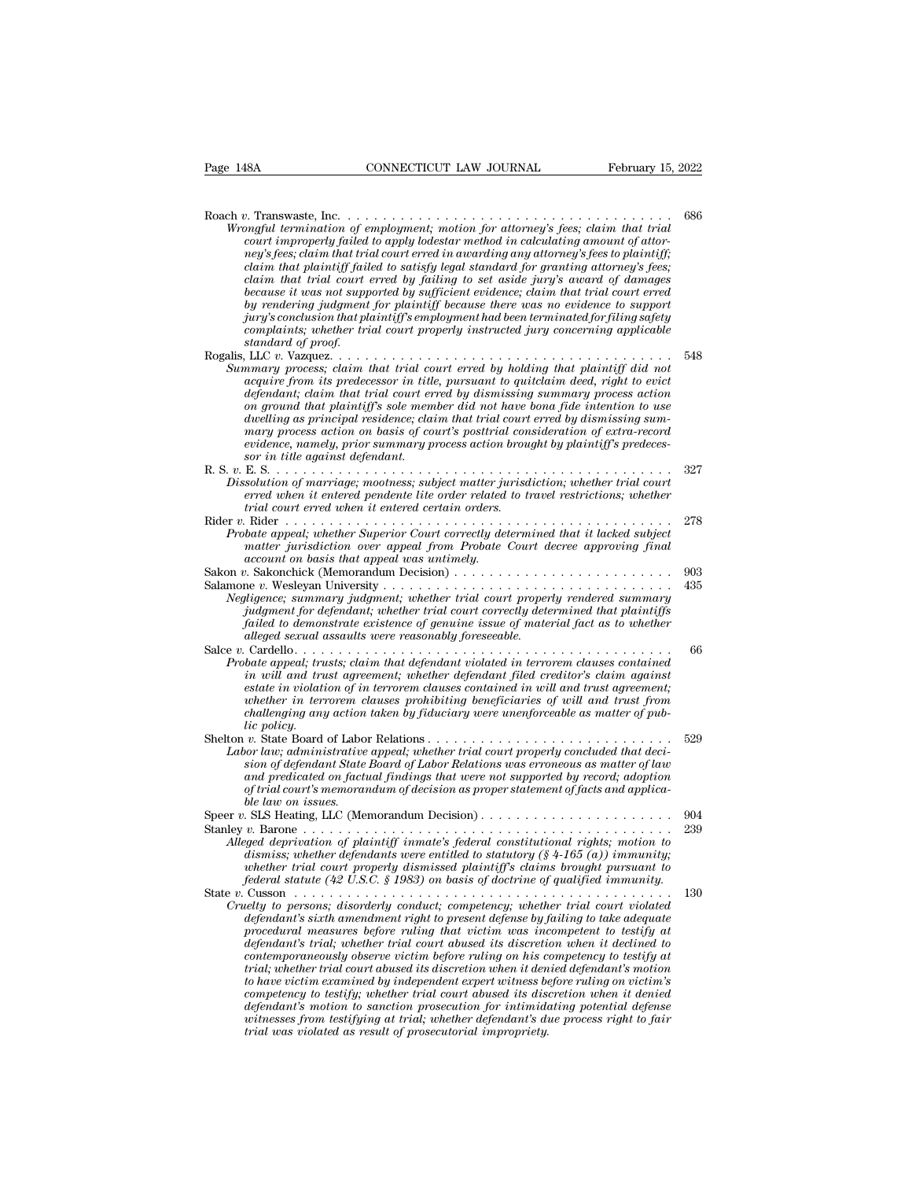| Page 148A          | CONNECTICUT LAW JOURNAL                                                                                                                                                                                                                                                                                                                                                                                                                                                                                                                                                                                                                                                                                                                                                                                                                                                                                                   | February 15, 2022 |
|--------------------|---------------------------------------------------------------------------------------------------------------------------------------------------------------------------------------------------------------------------------------------------------------------------------------------------------------------------------------------------------------------------------------------------------------------------------------------------------------------------------------------------------------------------------------------------------------------------------------------------------------------------------------------------------------------------------------------------------------------------------------------------------------------------------------------------------------------------------------------------------------------------------------------------------------------------|-------------------|
| standard of proof. | Wrongful termination of employment; motion for attorney's fees; claim that trial<br>court improperly failed to apply lodestar method in calculating amount of attor-<br>ney's fees; claim that trial court erred in awarding any attorney's fees to plaintiff;<br>claim that plaintiff failed to satisfy legal standard for granting attorney's fees;<br>claim that trial court erred by failing to set aside jury's award of damages<br>because it was not supported by sufficient evidence; claim that trial court erred<br>by rendering judgment for plaintiff because there was no evidence to support<br>jury's conclusion that plaintiff's employment had been terminated for filing safety<br>complaints; whether trial court properly instructed jury concerning applicable                                                                                                                                       | 686               |
|                    | Summary process; claim that trial court erred by holding that plaintiff did not<br>acquire from its predecessor in title, pursuant to quitclaim deed, right to evict<br>defendant; claim that trial court erred by dismissing summary process action<br>on ground that plaintiff's sole member did not have bona fide intention to use<br>dwelling as principal residence; claim that trial court erred by dismissing sum-<br>mary process action on basis of court's posttrial consideration of extra-record<br>evidence, namely, prior summary process action brought by plaintiff's predeces-<br>sor in title against defendant.                                                                                                                                                                                                                                                                                       | 548               |
|                    | Dissolution of marriage; mootness; subject matter jurisdiction; whether trial court<br>erred when it entered pendente lite order related to travel restrictions; whether<br>trial court erred when it entered certain orders.                                                                                                                                                                                                                                                                                                                                                                                                                                                                                                                                                                                                                                                                                             | 327               |
|                    | Probate appeal; whether Superior Court correctly determined that it lacked subject<br>matter jurisdiction over appeal from Probate Court decree approving final<br>account on basis that appeal was untimely.                                                                                                                                                                                                                                                                                                                                                                                                                                                                                                                                                                                                                                                                                                             | 278               |
|                    | Negligence; summary judgment; whether trial court properly rendered summary<br>judgment for defendant; whether trial court correctly determined that plaintiffs<br>failed to demonstrate existence of genuine issue of material fact as to whether<br>alleged sexual assaults were reasonably foreseeable.                                                                                                                                                                                                                                                                                                                                                                                                                                                                                                                                                                                                                | 903<br>435        |
| lic policy.        | Probate appeal; trusts; claim that defendant violated in terrorem clauses contained<br>in will and trust agreement; whether defendant filed creditor's claim against<br>estate in violation of in terrorem clauses contained in will and trust agreement;<br>whether in terrorem clauses prohibiting beneficiaries of will and trust from<br>challenging any action taken by fiduciary were unenforceable as matter of pub-                                                                                                                                                                                                                                                                                                                                                                                                                                                                                               | 66                |
| ble law on issues. | Labor law; administrative appeal; whether trial court properly concluded that deci-<br>sion of defendant State Board of Labor Relations was erroneous as matter of law<br>and predicated on factual findings that were not supported by record; adoption<br>of trial court's memorandum of decision as proper statement of facts and applica-                                                                                                                                                                                                                                                                                                                                                                                                                                                                                                                                                                             | 529               |
|                    | Alleged deprivation of plaintiff inmate's federal constitutional rights; motion to<br>dismiss; whether defendants were entitled to statutory (§ 4-165 $(a)$ ) immunity;<br>whether trial court properly dismissed plaintiff's claims brought pursuant to<br>federal statute (42 U.S.C. § 1983) on basis of doctrine of qualified immunity.                                                                                                                                                                                                                                                                                                                                                                                                                                                                                                                                                                                | 904<br>239        |
|                    | Cruelty to persons; disorderly conduct; competency; whether trial court violated<br>defendant's sixth amendment right to present defense by failing to take adequate<br>procedural measures before ruling that victim was incompetent to testify at<br>defendant's trial; whether trial court abused its discretion when it declined to<br>contemporaneously observe victim before ruling on his competency to testify at<br>trial; whether trial court abused its discretion when it denied defendant's motion<br>to have victim examined by independent expert witness before ruling on victim's<br>competency to testify; whether trial court abused its discretion when it denied<br>defendant's motion to sanction prosecution for intimidating potential defense<br>witnesses from testifying at trial; whether defendant's due process right to fair<br>trial was violated as result of prosecutorial impropriety. | 130               |